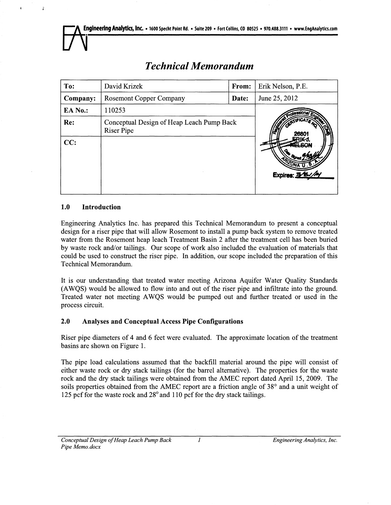| To:      | David Krizek                                            | From: | Erik Nelson, P.E. |
|----------|---------------------------------------------------------|-------|-------------------|
| Company: | <b>Rosemont Copper Company</b>                          | Date: | June 25, 2012     |
| EA No.:  | 110253                                                  |       |                   |
| Re:      | Conceptual Design of Heap Leach Pump Back<br>Riser Pipe |       | 26801             |
| CC:      |                                                         |       | Expires: 3/8//    |

# *Technical Memorandum*

# **1.0 Introduction**

ĩ

**Engineering Analytics Inc. has prepared this Technical Memorandum to present a conceptual design for a riser pipe that will allow Rosemont to install a pump back system to remove treated water from the Rosemont heap leach Treatment Basin 2 after the treatment cell has been buried by waste rock and/or tailings. Our scope of work also included the evaluation of materials that could be used to construct the riser pipe. In addition, our scope included the preparation of this Technical Memorandum.** 

**It is our understanding that treated water meeting Arizona Aquifer Water Quality Standards (AWQS) would be allowed to flow into and out of the riser pipe and infiltrate into the ground. Treated water not meeting AWQS would be pumped out and further treated or used in the process circuit.** 

# **2.0 Analyses and Conceptual Access Pipe Configurations**

**Riser pipe diameters of 4 and 6 feet were evaluated. The approximate location of the treatment basins are shown on Figure 1.** 

**The pipe load calculations assumed that the backfill material around the pipe will consist of either waste rock or dry stack tailings (for the barrel alternative). The properties for the waste rock and the dry stack tailings were obtained from the AMEC report dated April 15, 2009. The soils properties obtained from the AMEC report are a friction angle of 38° and a unit weight of 125 pcf for the waste rock and 28 °and 110 pcf for the dry stack tailings.**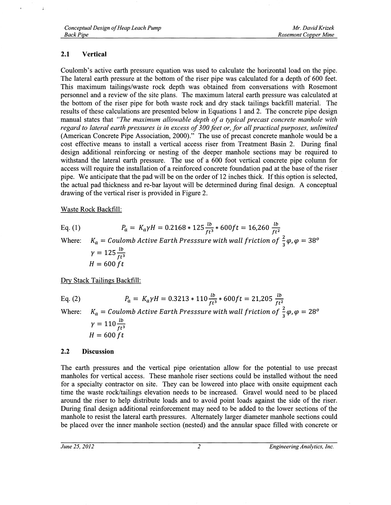# **2.1 Vertical**

Coulomb's active earth pressure equation was used to calculate the horizontal load on the pipe. The lateral earth pressure at the bottom of the riser pipe was calculated for a depth of 600 feet. This maximum tailings/waste rock depth was obtained from conversations with Rosemont personnel and a review of the site plans. The maximum lateral earth pressure was calculated at the bottom of the riser pipe for both waste rock and dry stack tailings backfill material. The results of these calculations are presented below in Equations 1 and 2. The concrete pipe design manual states that *"The maximum allowable depth of a typical precast concrete manhole with regard to lateral earth pressures is in excess of 300 feet or, for all practical purposes, unlimited*  (American Concrete Pipe Association, 2000)." The use of precast concrete manhole would be a cost effective means to install a vertical access riser from Treatment Basin 2. During final design additional reinforcing or nesting of the deeper manhole sections may be required to withstand the lateral earth pressure. The use of a 600 foot vertical concrete pipe column for access will require the installation of a reinforced concrete foundation pad at the base of the riser pipe. We anticipate that the pad will be on the order of 12 inches thick. If this option is selected, the actual pad thickness and re-bar layout will be determined during final design. A conceptual drawing of the vertical riser is provided in Figure 2.

# Waste Rock Backfill:

| Eq. $(1)$ | $P_a = K_a \gamma H = 0.2168 * 125 \frac{lb}{ft^3} * 600 ft = 16,260 \frac{lb}{ft^2}$                           |
|-----------|-----------------------------------------------------------------------------------------------------------------|
|           | Where: $K_a = Coulomb$ Active Earth Presssure with wall friction of $\frac{2}{3}\varphi$ , $\varphi = 38^\circ$ |
|           | $\gamma = 125 \frac{lb}{ft^3}$                                                                                  |
|           | $H = 600 ft$                                                                                                    |

Dry Stack Tailings Backfill:

Eq. (2) 
$$
P_a = K_a \gamma H = 0.3213 * 110 \frac{lb}{ft^3} * 600 ft = 21,205 \frac{lb}{ft^2}
$$
  
Where: 
$$
K_a = Coulomb \text{ Active Earth Press} \text{such } \text{weak } \text{width wall friction of } \frac{2}{3}\varphi, \varphi = 28^\circ
$$

$$
\gamma = 110 \frac{lb}{ft^3}
$$

$$
H = 600 \text{ ft}
$$

#### **2.2 Discussion**

**The** earth pressures and the vertical pipe orientation allow for the potential to use precast manholes for vertical access. These manhole riser sections could be installed without the need for a specialty contractor on site. They can be lowered into place with onsite equipment each time the waste rock/tailings elevation needs to be increased. Gravel would need to be placed around the riser to help distribute loads and to avoid point loads against the side of the riser. During final design additional reinforcement may need to be added to the lower sections of the manhole to resist the lateral earth pressures. Alternately larger diameter manhole sections could be placed over the inner manhole section (nested) and the annular space filled with concrete or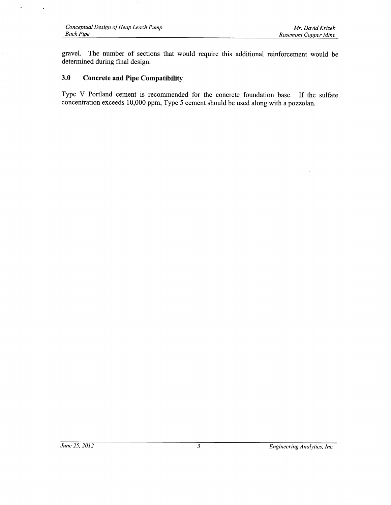$\cdot$ 

 $\hat{\textbf{I}}$ 

gravel. The number of sections that would require this additional reinforcement would be determined during final design.

# **3.0 Concrete and Pipe Compatibility**

Type V Portland cement is recommended for the concrete foundation base. If the sulfate concentration exceeds 10,000 ppm, Type 5 cement should be used along with a pozzolan.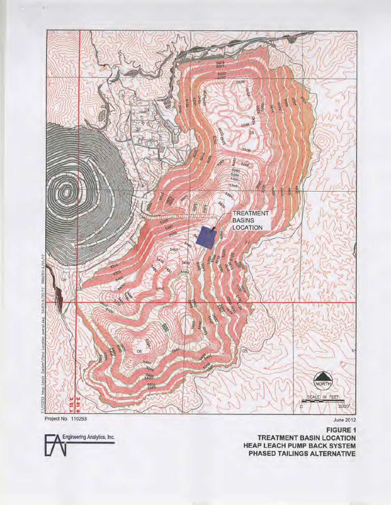

 $\Lambda$  .

Engineering Analytics, Inc.

**FIGURE 1 TREATMENT BASIN LOCATION HEAP LEACH PUMP BACK SYSTEM** PHASED TAILINGS ALTERNATIVE